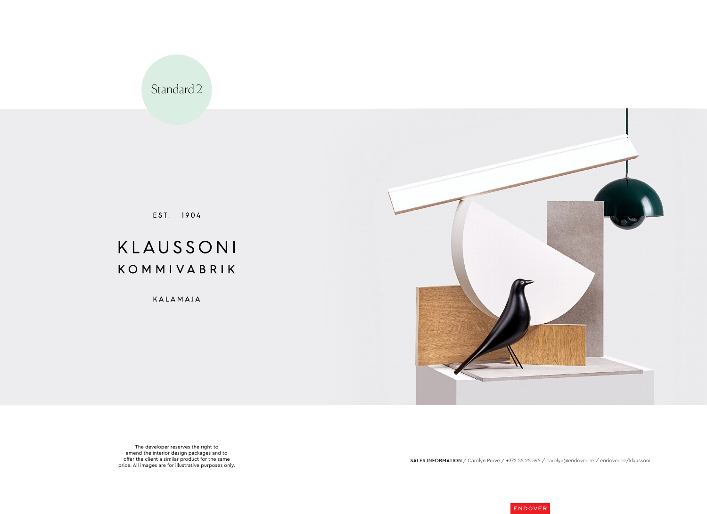The developer reserves the right to amend the interior design packages and to offer the client a similar product for the same price. All images are for illustrative purposes only.

SALES INFORMATION / Cärolyn Purve / +372 55 25 595 / carolyn@endover.ee / endover.ee/klaussoni





Standard 2

EST. 1904

# KLAUSSONI KOMMIVABRIK

KALAMAJA